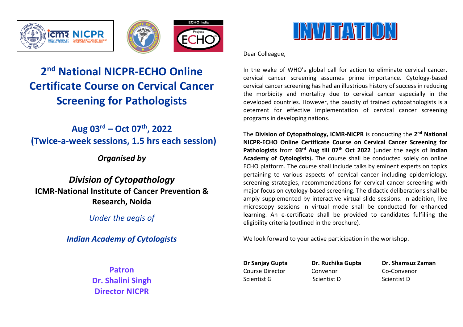





# **2 nd National NICPR-ECHO Online Certificate Course on Cervical Cancer Screening for Pathologists**

## **Aug 03rd – Oct 07th, 2022 (Twice-a-week sessions, 1.5 hrs each session)**

## *Organised by*

*Division of Cytopathology* **ICMR-National Institute of Cancer Prevention & Research, Noida**

*Under the aegis of*

*Indian Academy of Cytologists*

**Patron Dr. Shalini Singh Director NICPR**



Dear Colleague,

In the wake of WHO's global call for action to eliminate cervical cancer, cervical cancer screening assumes prime importance. Cytology-based cervical cancer screening has had an illustrious history of success in reducing the morbidity and mortality due to cervical cancer especially in the developed countries. However, the paucity of trained cytopathologists is a deterrent for effective implementation of cervical cancer screening programs in developing nations.

The **Division of Cytopathology, ICMR-NICPR** is conducting the **2 nd National NICPR-ECHO Online Certificate Course on Cervical Cancer Screening for Pathologists** from **03rd Aug till 07th Oct 2022** (under the aegis of **Indian Academy of Cytologists**)**.** The course shall be conducted solely on online ECHO platform. The course shall include talks by eminent experts on topics pertaining to various aspects of cervical cancer including epidemiology, screening strategies, recommendations for cervical cancer screening with major focus on cytology-based screening. The didactic deliberations shall be amply supplemented by interactive virtual slide sessions. In addition, live microscopy sessions in virtual mode shall be conducted for enhanced learning. An e-certificate shall be provided to candidates fulfilling the eligibility criteria (outlined in the brochure).

We look forward to your active participation in the workshop.

Course Director Convenor Co-Convenor

Scientist G Scientist D Scientist D

**Dr Sanjay Gupta Dr. Ruchika Gupta Dr. Shamsuz Zaman**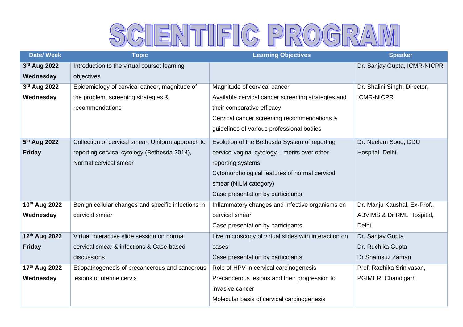# SCIENTIFIC PROGRAM

| <b>Date/ Week</b> | <b>Topic</b>                                       | <b>Learning Objectives</b>                            | <b>Speaker</b>               |
|-------------------|----------------------------------------------------|-------------------------------------------------------|------------------------------|
| 3rd Aug 2022      | Introduction to the virtual course: learning       |                                                       | Dr. Sanjay Gupta, ICMR-NICPR |
| Wednesday         | objectives                                         |                                                       |                              |
| 3rd Aug 2022      | Epidemiology of cervical cancer, magnitude of      | Magnitude of cervical cancer                          | Dr. Shalini Singh, Director, |
| Wednesday         | the problem, screening strategies &                | Available cervical cancer screening strategies and    | <b>ICMR-NICPR</b>            |
|                   | recommendations                                    | their comparative efficacy                            |                              |
|                   |                                                    | Cervical cancer screening recommendations &           |                              |
|                   |                                                    | guidelines of various professional bodies             |                              |
| 5th Aug 2022      | Collection of cervical smear, Uniform approach to  | Evolution of the Bethesda System of reporting         | Dr. Neelam Sood, DDU         |
| <b>Friday</b>     | reporting cervical cytology (Bethesda 2014),       | cervico-vaginal cytology - merits over other          | Hospital, Delhi              |
|                   | Normal cervical smear                              | reporting systems                                     |                              |
|                   |                                                    | Cytomorphological features of normal cervical         |                              |
|                   |                                                    | smear (NILM category)                                 |                              |
|                   |                                                    | Case presentation by participants                     |                              |
| 10th Aug 2022     | Benign cellular changes and specific infections in | Inflammatory changes and Infective organisms on       | Dr. Manju Kaushal, Ex-Prof., |
| Wednesday         | cervical smear                                     | cervical smear                                        | ABVIMS & Dr RML Hospital,    |
|                   |                                                    | Case presentation by participants                     | Delhi                        |
| 12th Aug 2022     | Virtual interactive slide session on normal        | Live microscopy of virtual slides with interaction on | Dr. Sanjay Gupta             |
| <b>Friday</b>     | cervical smear & infections & Case-based           | cases                                                 | Dr. Ruchika Gupta            |
|                   | discussions                                        | Case presentation by participants                     | Dr Shamsuz Zaman             |
| 17th Aug 2022     | Etiopathogenesis of precancerous and cancerous     | Role of HPV in cervical carcinogenesis                | Prof. Radhika Srinivasan,    |
| Wednesday         | lesions of uterine cervix                          | Precancerous lesions and their progression to         | PGIMER, Chandigarh           |
|                   |                                                    | invasive cancer                                       |                              |
|                   |                                                    | Molecular basis of cervical carcinogenesis            |                              |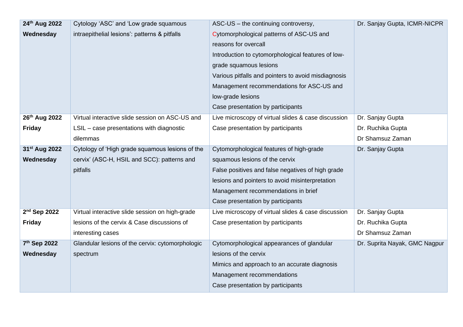| 24th Aug 2022             | Cytology 'ASC' and 'Low grade squamous           | ASC-US - the continuing controversy,                | Dr. Sanjay Gupta, ICMR-NICPR  |
|---------------------------|--------------------------------------------------|-----------------------------------------------------|-------------------------------|
| Wednesday                 | intraepithelial lesions': patterns & pitfalls    | Cytomorphological patterns of ASC-US and            |                               |
|                           |                                                  | reasons for overcall                                |                               |
|                           |                                                  | Introduction to cytomorphological features of low-  |                               |
|                           |                                                  | grade squamous lesions                              |                               |
|                           |                                                  | Various pitfalls and pointers to avoid misdiagnosis |                               |
|                           |                                                  | Management recommendations for ASC-US and           |                               |
|                           |                                                  | low-grade lesions                                   |                               |
|                           |                                                  | Case presentation by participants                   |                               |
| 26th Aug 2022             | Virtual interactive slide session on ASC-US and  | Live microscopy of virtual slides & case discussion | Dr. Sanjay Gupta              |
| <b>Friday</b>             | LSIL - case presentations with diagnostic        | Case presentation by participants                   | Dr. Ruchika Gupta             |
|                           | dilemmas                                         |                                                     | Dr Shamsuz Zaman              |
| 31 <sup>st</sup> Aug 2022 | Cytology of 'High grade squamous lesions of the  | Cytomorphological features of high-grade            | Dr. Sanjay Gupta              |
| Wednesday                 | cervix' (ASC-H, HSIL and SCC): patterns and      | squamous lesions of the cervix                      |                               |
|                           | pitfalls                                         | False positives and false negatives of high grade   |                               |
|                           |                                                  | lesions and pointers to avoid misinterpretation     |                               |
|                           |                                                  | Management recommendations in brief                 |                               |
|                           |                                                  | Case presentation by participants                   |                               |
| 2 <sup>nd</sup> Sep 2022  | Virtual interactive slide session on high-grade  | Live microscopy of virtual slides & case discussion | Dr. Sanjay Gupta              |
| <b>Friday</b>             | lesions of the cervix & Case discussions of      | Case presentation by participants                   | Dr. Ruchika Gupta             |
|                           | interesting cases                                |                                                     | Dr Shamsuz Zaman              |
| 7th Sep 2022              | Glandular lesions of the cervix: cytomorphologic | Cytomorphological appearances of glandular          | Dr. Suprita Nayak, GMC Nagpur |
| Wednesday                 | spectrum                                         | lesions of the cervix                               |                               |
|                           |                                                  | Mimics and approach to an accurate diagnosis        |                               |
|                           |                                                  | Management recommendations                          |                               |
|                           |                                                  | Case presentation by participants                   |                               |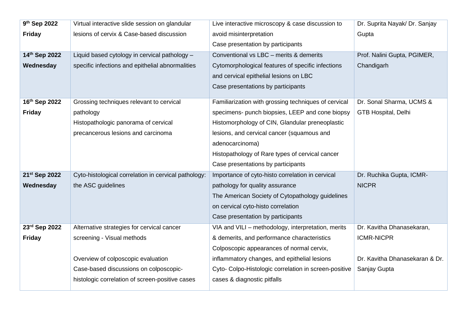| 9 <sup>th</sup> Sep 2022  | Virtual interactive slide session on glandular       | Live interactive microscopy & case discussion to      | Dr. Suprita Nayak/ Dr. Sanjay  |
|---------------------------|------------------------------------------------------|-------------------------------------------------------|--------------------------------|
| <b>Friday</b>             | lesions of cervix & Case-based discussion            | avoid misinterpretation                               | Gupta                          |
|                           |                                                      | Case presentation by participants                     |                                |
| 14th Sep 2022             | Liquid based cytology in cervical pathology -        | Conventional vs LBC - merits & demerits               | Prof. Nalini Gupta, PGIMER,    |
| Wednesday                 | specific infections and epithelial abnormalities     | Cytomorphological features of specific infections     | Chandigarh                     |
|                           |                                                      | and cervical epithelial lesions on LBC                |                                |
|                           |                                                      | Case presentations by participants                    |                                |
| 16th Sep 2022             | Grossing techniques relevant to cervical             | Familiarization with grossing techniques of cervical  | Dr. Sonal Sharma, UCMS &       |
| <b>Friday</b>             | pathology                                            | specimens- punch biopsies, LEEP and cone biopsy       | GTB Hospital, Delhi            |
|                           | Histopathologic panorama of cervical                 | Histomorphology of CIN, Glandular preneoplastic       |                                |
|                           | precancerous lesions and carcinoma                   | lesions, and cervical cancer (squamous and            |                                |
|                           |                                                      | adenocarcinoma)                                       |                                |
|                           |                                                      | Histopathology of Rare types of cervical cancer       |                                |
|                           |                                                      | Case presentations by participants                    |                                |
| 21 <sup>st</sup> Sep 2022 | Cyto-histological correlation in cervical pathology: | Importance of cyto-histo correlation in cervical      | Dr. Ruchika Gupta, ICMR-       |
| Wednesday                 | the ASC guidelines                                   | pathology for quality assurance                       | <b>NICPR</b>                   |
|                           |                                                      | The American Society of Cytopathology guidelines      |                                |
|                           |                                                      | on cervical cyto-histo correlation                    |                                |
|                           |                                                      | Case presentation by participants                     |                                |
| 23rd Sep 2022             | Alternative strategies for cervical cancer           | VIA and VILI - methodology, interpretation, merits    | Dr. Kavitha Dhanasekaran,      |
| <b>Friday</b>             | screening - Visual methods                           | & demerits, and performance characteristics           | <b>ICMR-NICPR</b>              |
|                           |                                                      | Colposcopic appearances of normal cervix,             |                                |
|                           | Overview of colposcopic evaluation                   | inflammatory changes, and epithelial lesions          | Dr. Kavitha Dhanasekaran & Dr. |
|                           | Case-based discussions on colposcopic-               | Cyto- Colpo-Histologic correlation in screen-positive | Sanjay Gupta                   |
|                           | histologic correlation of screen-positive cases      | cases & diagnostic pitfalls                           |                                |
|                           |                                                      |                                                       |                                |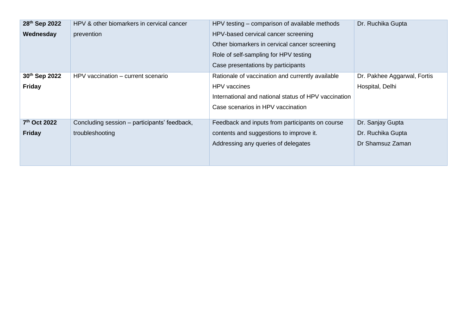| 28th Sep 2022 | HPV & other biomarkers in cervical cancer    | HPV testing – comparison of available methods        | Dr. Ruchika Gupta           |
|---------------|----------------------------------------------|------------------------------------------------------|-----------------------------|
| Wednesday     | prevention                                   | HPV-based cervical cancer screening                  |                             |
|               |                                              | Other biomarkers in cervical cancer screening        |                             |
|               |                                              | Role of self-sampling for HPV testing                |                             |
|               |                                              | Case presentations by participants                   |                             |
| 30th Sep 2022 | HPV vaccination – current scenario           | Rationale of vaccination and currently available     | Dr. Pakhee Aggarwal, Fortis |
| <b>Friday</b> |                                              | HPV vaccines                                         | Hospital, Delhi             |
|               |                                              | International and national status of HPV vaccination |                             |
|               |                                              | Case scenarios in HPV vaccination                    |                             |
|               |                                              |                                                      |                             |
| 7th Oct 2022  | Concluding session – participants' feedback, | Feedback and inputs from participants on course      | Dr. Sanjay Gupta            |
| <b>Friday</b> | troubleshooting                              | contents and suggestions to improve it.              | Dr. Ruchika Gupta           |
|               |                                              | Addressing any queries of delegates                  | Dr Shamsuz Zaman            |
|               |                                              |                                                      |                             |
|               |                                              |                                                      |                             |